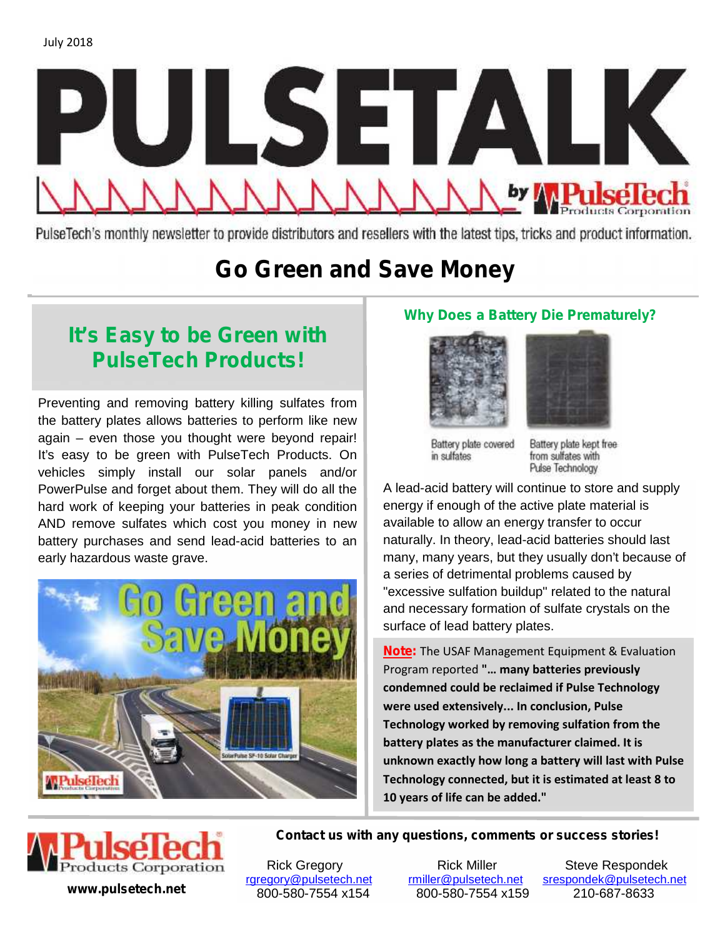

PulseTech's monthly newsletter to provide distributors and resellers with the latest tips, tricks and product information.

# **Go Green and Save Money**

## **It's Easy to be Green with PulseTech Products!**

Preventing and removing battery killing sulfates from the battery plates allows batteries to perform like new again – even those you thought were beyond repair! It's easy to be green with PulseTech Products. On vehicles simply install our solar panels and/or PowerPulse and forget about them. They will do all the hard work of keeping your batteries in peak condition AND remove sulfates which cost you money in new battery purchases and send lead-acid batteries to an early hazardous waste grave.



### **Why Does a Battery Die Prematurely?**





Battery plate covered in sulfates

Battery plate kept free from sulfates with Pulse Technology

A lead-acid battery will continue to store and supply energy if enough of the active plate material is available to allow an energy transfer to occur naturally. In theory, lead-acid batteries should last many, many years, but they usually don't because of a series of detrimental problems caused by "excessive sulfation buildup" related to the natural and necessary formation of sulfate crystals on the surface of lead battery plates.

**Note:** The USAF Management Equipment & Evaluation Program reported **"… many batteries previously condemned could be reclaimed if Pulse Technology were used extensively... In conclusion, Pulse Technology worked by removing sulfation from the battery plates as the manufacturer claimed. It is unknown exactly how long a battery will last with Pulse Technology connected, but it is estimated at least 8 to 10 years of life can be added."**



**Contact us with any questions, comments or success stories!**

Rick Gregory Fick Miller Steve Respondek<br>Rick Miller @pulsetech.net srespondek@pulsetech.net rgregory@pulsetech.net rmiller@pulsetech.net srespondek@pulsetech.net **www.pulsetech.net** 800-580-7554 x154 800-580-7554 x159 210-687-8633